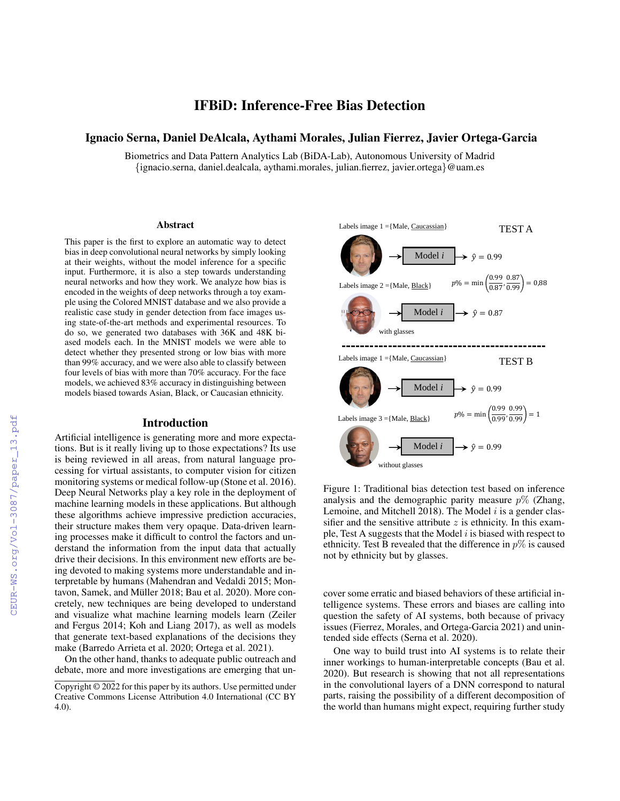# IFBiD: Inference-Free Bias Detection

## Ignacio Serna, Daniel DeAlcala, Aythami Morales, Julian Fierrez, Javier Ortega-Garcia

Biometrics and Data Pattern Analytics Lab (BiDA-Lab), Autonomous University of Madrid {ignacio.serna, daniel.dealcala, aythami.morales, julian.fierrez, javier.ortega}@uam.es

#### Abstract

This paper is the first to explore an automatic way to detect bias in deep convolutional neural networks by simply looking at their weights, without the model inference for a specific input. Furthermore, it is also a step towards understanding neural networks and how they work. We analyze how bias is encoded in the weights of deep networks through a toy example using the Colored MNIST database and we also provide a realistic case study in gender detection from face images using state-of-the-art methods and experimental resources. To do so, we generated two databases with 36K and 48K biased models each. In the MNIST models we were able to detect whether they presented strong or low bias with more than 99% accuracy, and we were also able to classify between four levels of bias with more than 70% accuracy. For the face models, we achieved 83% accuracy in distinguishing between models biased towards Asian, Black, or Caucasian ethnicity.

#### Introduction

Artificial intelligence is generating more and more expectations. But is it really living up to those expectations? Its use is being reviewed in all areas, from natural language processing for virtual assistants, to computer vision for citizen monitoring systems or medical follow-up (Stone et al. 2016). Deep Neural Networks play a key role in the deployment of machine learning models in these applications. But although these algorithms achieve impressive prediction accuracies, their structure makes them very opaque. Data-driven learning processes make it difficult to control the factors and understand the information from the input data that actually drive their decisions. In this environment new efforts are being devoted to making systems more understandable and interpretable by humans (Mahendran and Vedaldi 2015; Montavon, Samek, and Müller 2018; Bau et al. 2020). More concretely, new techniques are being developed to understand and visualize what machine learning models learn (Zeiler and Fergus 2014; Koh and Liang 2017), as well as models that generate text-based explanations of the decisions they make (Barredo Arrieta et al. 2020; Ortega et al. 2021).

On the other hand, thanks to adequate public outreach and debate, more and more investigations are emerging that un-



Figure 1: Traditional bias detection test based on inference analysis and the demographic parity measure  $p\%$  (Zhang, Lemoine, and Mitchell 2018). The Model  $i$  is a gender classifier and the sensitive attribute  $z$  is ethnicity. In this example, Test A suggests that the Model  $i$  is biased with respect to ethnicity. Test B revealed that the difference in  $p\%$  is caused not by ethnicity but by glasses.

cover some erratic and biased behaviors of these artificial intelligence systems. These errors and biases are calling into question the safety of AI systems, both because of privacy issues (Fierrez, Morales, and Ortega-Garcia 2021) and unintended side effects (Serna et al. 2020).

One way to build trust into AI systems is to relate their inner workings to human-interpretable concepts (Bau et al. 2020). But research is showing that not all representations in the convolutional layers of a DNN correspond to natural parts, raising the possibility of a different decomposition of the world than humans might expect, requiring further study

Copyright © 2022 for this paper by its authors. Use permitted under Creative Commons License Attribution 4.0 International (CC BY 4.0).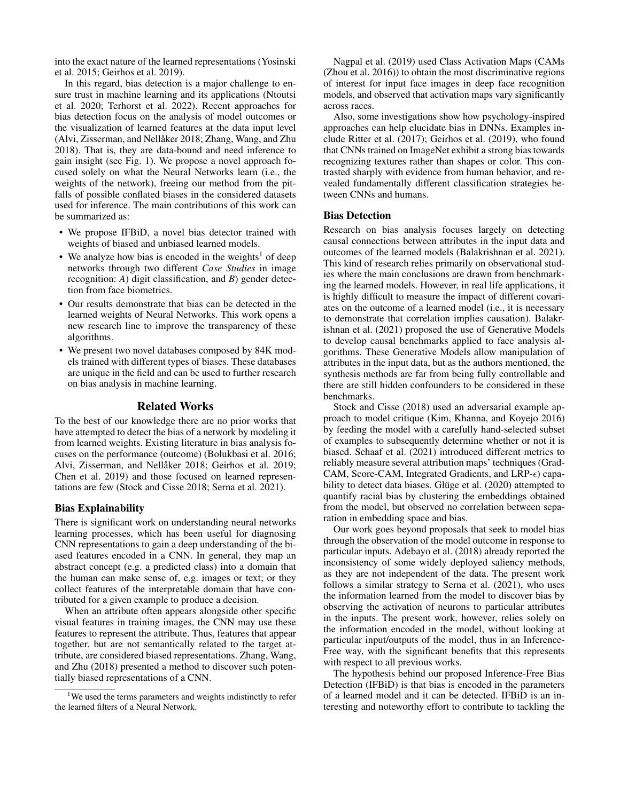into the exact nature of the learned representations (Yosinski et al. 2015; Geirhos et al. 2019).

In this regard, bias detection is a major challenge to ensure trust in machine learning and its applications (Ntoutsi et al. 2020; Terhorst et al. 2022). Recent approaches for bias detection focus on the analysis of model outcomes or the visualization of learned features at the data input level (Alvi, Zisserman, and Nellåker 2018; Zhang, Wang, and Zhu 2018). That is, they are data-bound and need inference to gain insight (see Fig. 1). We propose a novel approach focused solely on what the Neural Networks learn (i.e., the weights of the network), freeing our method from the pitfalls of possible conflated biases in the considered datasets used for inference. The main contributions of this work can be summarized as:

- We propose IFBiD, a novel bias detector trained with weights of biased and unbiased learned models.
- We analyze how bias is encoded in the weights<sup>1</sup> of deep networks through two different *Case Studies* in image recognition: *A*) digit classification, and *B*) gender detection from face biometrics.
- Our results demonstrate that bias can be detected in the learned weights of Neural Networks. This work opens a new research line to improve the transparency of these algorithms.
- We present two novel databases composed by 84K models trained with different types of biases. These databases are unique in the field and can be used to further research on bias analysis in machine learning.

## Related Works

To the best of our knowledge there are no prior works that have attempted to detect the bias of a network by modeling it from learned weights. Existing literature in bias analysis focuses on the performance (outcome) (Bolukbasi et al. 2016; Alvi, Zisserman, and Nellåker 2018; Geirhos et al. 2019; Chen et al. 2019) and those focused on learned representations are few (Stock and Cisse 2018; Serna et al. 2021).

### Bias Explainability

There is significant work on understanding neural networks learning processes, which has been useful for diagnosing CNN representations to gain a deep understanding of the biased features encoded in a CNN. In general, they map an abstract concept (e.g. a predicted class) into a domain that the human can make sense of, e.g. images or text; or they collect features of the interpretable domain that have contributed for a given example to produce a decision.

When an attribute often appears alongside other specific visual features in training images, the CNN may use these features to represent the attribute. Thus, features that appear together, but are not semantically related to the target attribute, are considered biased representations. Zhang, Wang, and Zhu (2018) presented a method to discover such potentially biased representations of a CNN.

Nagpal et al. (2019) used Class Activation Maps (CAMs (Zhou et al. 2016)) to obtain the most discriminative regions of interest for input face images in deep face recognition models, and observed that activation maps vary significantly across races.

Also, some investigations show how psychology-inspired approaches can help elucidate bias in DNNs. Examples include Ritter et al. (2017); Geirhos et al. (2019), who found that CNNs trained on ImageNet exhibit a strong bias towards recognizing textures rather than shapes or color. This contrasted sharply with evidence from human behavior, and revealed fundamentally different classification strategies between CNNs and humans.

#### Bias Detection

Research on bias analysis focuses largely on detecting causal connections between attributes in the input data and outcomes of the learned models (Balakrishnan et al. 2021). This kind of research relies primarily on observational studies where the main conclusions are drawn from benchmarking the learned models. However, in real life applications, it is highly difficult to measure the impact of different covariates on the outcome of a learned model (i.e., it is necessary to demonstrate that correlation implies causation). Balakrishnan et al. (2021) proposed the use of Generative Models to develop causal benchmarks applied to face analysis algorithms. These Generative Models allow manipulation of attributes in the input data, but as the authors mentioned, the synthesis methods are far from being fully controllable and there are still hidden confounders to be considered in these benchmarks.

Stock and Cisse (2018) used an adversarial example approach to model critique (Kim, Khanna, and Koyejo 2016) by feeding the model with a carefully hand-selected subset of examples to subsequently determine whether or not it is biased. Schaaf et al. (2021) introduced different metrics to reliably measure several attribution maps' techniques (Grad-CAM, Score-CAM, Integrated Gradients, and LRP- $\epsilon$ ) capability to detect data biases. Gluge et al.  $(2020)$  attempted to quantify racial bias by clustering the embeddings obtained from the model, but observed no correlation between separation in embedding space and bias.

Our work goes beyond proposals that seek to model bias through the observation of the model outcome in response to particular inputs. Adebayo et al. (2018) already reported the inconsistency of some widely deployed saliency methods, as they are not independent of the data. The present work follows a similar strategy to Serna et al. (2021), who uses the information learned from the model to discover bias by observing the activation of neurons to particular attributes in the inputs. The present work, however, relies solely on the information encoded in the model, without looking at particular input/outputs of the model, thus in an Inference-Free way, with the significant benefits that this represents with respect to all previous works.

The hypothesis behind our proposed Inference-Free Bias Detection (IFBiD) is that bias is encoded in the parameters of a learned model and it can be detected. IFBiD is an interesting and noteworthy effort to contribute to tackling the

<sup>&</sup>lt;sup>1</sup>We used the terms parameters and weights indistinctly to refer the learned filters of a Neural Network.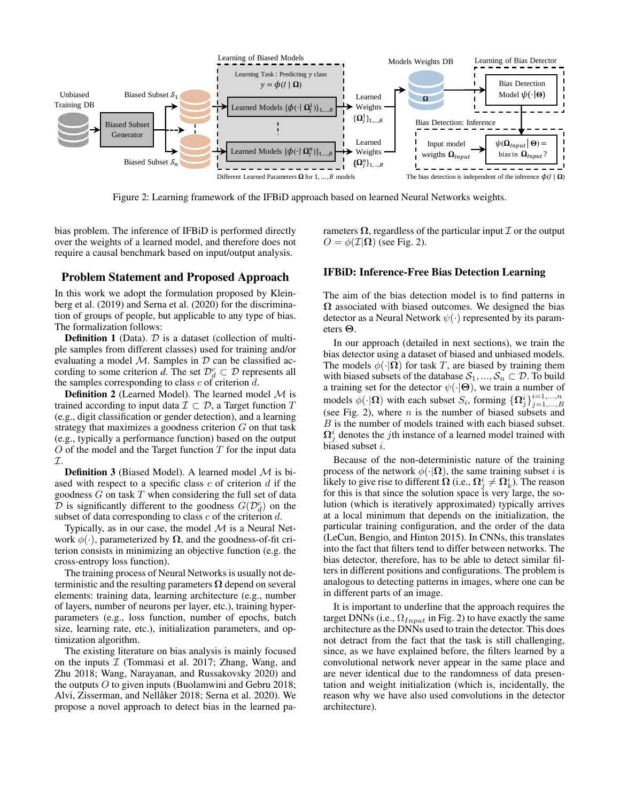

Figure 2: Learning framework of the IFBiD approach based on learned Neural Networks weights.

bias problem. The inference of IFBiD is performed directly over the weights of a learned model, and therefore does not require a causal benchmark based on input/output analysis.

## Problem Statement and Proposed Approach

In this work we adopt the formulation proposed by Kleinberg et al. (2019) and Serna et al. (2020) for the discrimination of groups of people, but applicable to any type of bias. The formalization follows:

**Definition 1** (Data).  $D$  is a dataset (collection of multiple samples from different classes) used for training and/or evaluating a model  $M$ . Samples in  $D$  can be classified according to some criterion *d*. The set  $\mathcal{D}_d^c \subset \mathcal{D}$  represents all the samples corresponding to class  $c$  of criterion  $d$ .

**Definition 2** (Learned Model). The learned model  $M$  is trained according to input data  $\mathcal{I} \subset \mathcal{D}$ , a Target function T (e.g., digit classification or gender detection), and a learning strategy that maximizes a goodness criterion  $G$  on that task (e.g., typically a performance function) based on the output  $O$  of the model and the Target function  $T$  for the input data  $\mathcal{T}$ .

**Definition 3** (Biased Model). A learned model  $M$  is biased with respect to a specific class  $c$  of criterion  $d$  if the goodness  $G$  on task  $T$  when considering the full set of data  $\overline{\mathcal{D}}$  is significantly different to the goodness  $G(\mathcal{D}_d^c)$  on the subset of data corresponding to class  $c$  of the criterion  $d$ .

Typically, as in our case, the model  $M$  is a Neural Network  $\phi(\cdot)$ , parameterized by  $\Omega$ , and the goodness-of-fit criterion consists in minimizing an objective function (e.g. the cross-entropy loss function).

The training process of Neural Networks is usually not deterministic and the resulting parameters  $\Omega$  depend on several elements: training data, learning architecture (e.g., number of layers, number of neurons per layer, etc.), training hyperparameters (e.g., loss function, number of epochs, batch size, learning rate, etc.), initialization parameters, and optimization algorithm.

The existing literature on bias analysis is mainly focused on the inputs  $I$  (Tommasi et al. 2017; Zhang, Wang, and Zhu 2018; Wang, Narayanan, and Russakovsky 2020) and the outputs  $O$  to given inputs (Buolamwini and Gebru 2018; Alvi, Zisserman, and Nellåker 2018; Serna et al. 2020). We propose a novel approach to detect bias in the learned parameters  $\Omega$ , regardless of the particular input  $\mathcal I$  or the output  $O = \phi(\mathcal{I}|\Omega)$  (see Fig. 2).

## IFBiD: Inference-Free Bias Detection Learning

The aim of the bias detection model is to find patterns in  $\Omega$  associated with biased outcomes. We designed the bias detector as a Neural Network  $\psi(\cdot)$  represented by its parameters Θ.

In our approach (detailed in next sections), we train the bias detector using a dataset of biased and unbiased models. The models  $\phi(\cdot|\Omega)$  for task T, are biased by training them with biased subsets of the database  $S_1, ..., S_n \subset \mathcal{D}$ . To build a training set for the detector  $\psi(\cdot|\Theta)$ , we train a number of models  $\phi(\cdot|\Omega)$  with each subset  $S_i$ , forming  $\{\Omega_j^i\}_{j=1,\dots,B}^{i=1,\dots,n}$ (see Fig. 2), where  $n$  is the number of biased subsets and B is the number of models trained with each biased subset.  $\Omega_j^i$  denotes the *j*th instance of a learned model trained with biased subset i.

Because of the non-deterministic nature of the training process of the network  $\phi(\cdot|\Omega)$ , the same training subset i is likely to give rise to different  $\bm{\Omega}$  (i.e.,  $\bm{\Omega}_j^i\neq \bm{\Omega}_k^i$ ). The reason for this is that since the solution space is very large, the solution (which is iteratively approximated) typically arrives at a local minimum that depends on the initialization, the particular training configuration, and the order of the data (LeCun, Bengio, and Hinton 2015). In CNNs, this translates into the fact that filters tend to differ between networks. The bias detector, therefore, has to be able to detect similar filters in different positions and configurations. The problem is analogous to detecting patterns in images, where one can be in different parts of an image.

It is important to underline that the approach requires the target DNNs (i.e.,  $\Omega_{Input}$  in Fig. 2) to have exactly the same architecture as the DNNs used to train the detector. This does not detract from the fact that the task is still challenging, since, as we have explained before, the filters learned by a convolutional network never appear in the same place and are never identical due to the randomness of data presentation and weight initialization (which is, incidentally, the reason why we have also used convolutions in the detector architecture).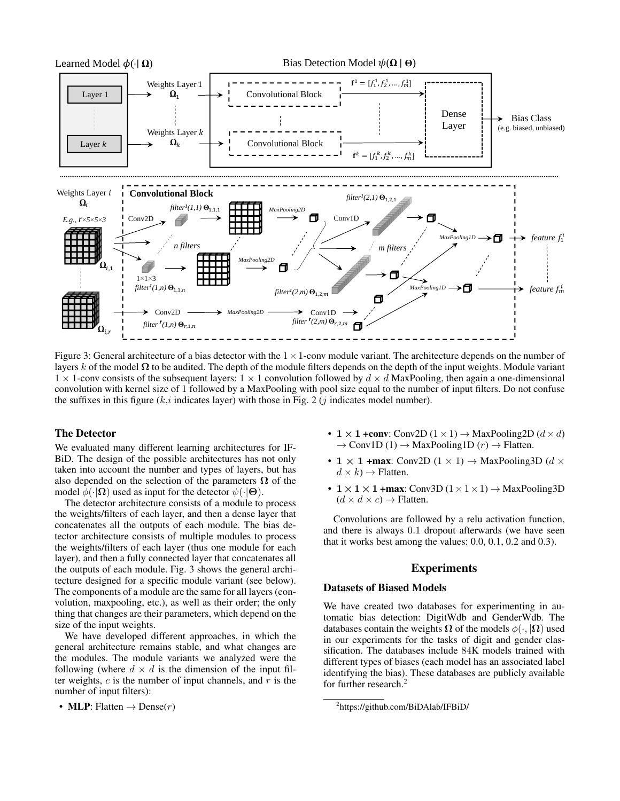

Figure 3: General architecture of a bias detector with the  $1 \times 1$ -conv module variant. The architecture depends on the number of layers k of the model  $\Omega$  to be audited. The depth of the module filters depends on the depth of the input weights. Module variant  $1 \times 1$ -conv consists of the subsequent layers:  $1 \times 1$  convolution followed by  $d \times d$  MaxPooling, then again a one-dimensional convolution with kernel size of 1 followed by a MaxPooling with pool size equal to the number of input filters. Do not confuse the suffixes in this figure  $(k, i)$  indicates layer) with those in Fig. 2 (j indicates model number).

## The Detector

We evaluated many different learning architectures for IF-BiD. The design of the possible architectures has not only taken into account the number and types of layers, but has also depended on the selection of the parameters  $\Omega$  of the model  $\phi(\cdot|\Omega)$  used as input for the detector  $\psi(\cdot|\Theta)$ .

The detector architecture consists of a module to process the weights/filters of each layer, and then a dense layer that concatenates all the outputs of each module. The bias detector architecture consists of multiple modules to process the weights/filters of each layer (thus one module for each layer), and then a fully connected layer that concatenates all the outputs of each module. Fig. 3 shows the general architecture designed for a specific module variant (see below). The components of a module are the same for all layers (convolution, maxpooling, etc.), as well as their order; the only thing that changes are their parameters, which depend on the size of the input weights.

We have developed different approaches, in which the general architecture remains stable, and what changes are the modules. The module variants we analyzed were the following (where  $d \times d$  is the dimension of the input filter weights,  $c$  is the number of input channels, and  $r$  is the number of input filters):

• MLP: Flatten  $\rightarrow$  Dense(*r*)

- $1 \times 1$  +conv: Conv2D  $(1 \times 1)$   $\rightarrow$  MaxPooling2D  $(d \times d)$  $\rightarrow$  Conv1D (1)  $\rightarrow$  MaxPooling1D (r)  $\rightarrow$  Flatten.
- 1  $\times$  1 + max: Conv2D (1  $\times$  1)  $\rightarrow$  MaxPooling3D (d  $\times$  $d \times k$ )  $\rightarrow$  Flatten.
- $1 \times 1 \times 1$  +max: Conv3D  $(1 \times 1 \times 1)$   $\rightarrow$  MaxPooling3D  $(d \times d \times c) \rightarrow$  Flatten.

Convolutions are followed by a relu activation function, and there is always 0.1 dropout afterwards (we have seen that it works best among the values: 0.0, 0.1, 0.2 and 0.3).

### Experiments

#### Datasets of Biased Models

We have created two databases for experimenting in automatic bias detection: DigitWdb and GenderWdb. The databases contain the weights  $\Omega$  of the models  $\phi(\cdot, |\Omega)$  used in our experiments for the tasks of digit and gender classification. The databases include 84K models trained with different types of biases (each model has an associated label identifying the bias). These databases are publicly available for further research.<sup>2</sup>

<sup>2</sup> https://github.com/BiDAlab/IFBiD/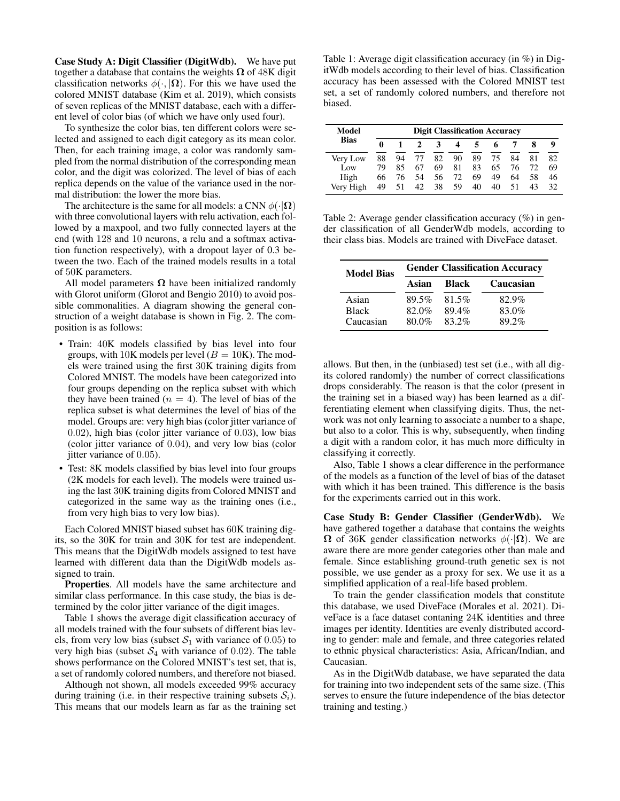Case Study A: Digit Classifier (DigitWdb). We have put together a database that contains the weights  $\Omega$  of 48K digit classification networks  $\phi(\cdot, |\Omega)$ . For this we have used the colored MNIST database (Kim et al. 2019), which consists of seven replicas of the MNIST database, each with a different level of color bias (of which we have only used four).

To synthesize the color bias, ten different colors were selected and assigned to each digit category as its mean color. Then, for each training image, a color was randomly sampled from the normal distribution of the corresponding mean color, and the digit was colorized. The level of bias of each replica depends on the value of the variance used in the normal distribution: the lower the more bias.

The architecture is the same for all models: a CNN  $\phi(\cdot|\Omega)$ with three convolutional layers with relu activation, each followed by a maxpool, and two fully connected layers at the end (with 128 and 10 neurons, a relu and a softmax activation function respectively), with a dropout layer of 0.3 between the two. Each of the trained models results in a total of 50K parameters.

All model parameters  $\Omega$  have been initialized randomly with Glorot uniform (Glorot and Bengio 2010) to avoid possible commonalities. A diagram showing the general construction of a weight database is shown in Fig. 2. The composition is as follows:

- Train: 40K models classified by bias level into four groups, with 10K models per level ( $B = 10$ K). The models were trained using the first 30K training digits from Colored MNIST. The models have been categorized into four groups depending on the replica subset with which they have been trained ( $n = 4$ ). The level of bias of the replica subset is what determines the level of bias of the model. Groups are: very high bias (color jitter variance of 0.02), high bias (color jitter variance of 0.03), low bias (color jitter variance of 0.04), and very low bias (color jitter variance of 0.05).
- Test: 8K models classified by bias level into four groups (2K models for each level). The models were trained using the last 30K training digits from Colored MNIST and categorized in the same way as the training ones (i.e., from very high bias to very low bias).

Each Colored MNIST biased subset has 60K training digits, so the 30K for train and 30K for test are independent. This means that the DigitWdb models assigned to test have learned with different data than the DigitWdb models assigned to train.

Properties. All models have the same architecture and similar class performance. In this case study, the bias is determined by the color jitter variance of the digit images.

Table 1 shows the average digit classification accuracy of all models trained with the four subsets of different bias levels, from very low bias (subset  $S_1$  with variance of 0.05) to very high bias (subset  $S_4$  with variance of 0.02). The table shows performance on the Colored MNIST's test set, that is, a set of randomly colored numbers, and therefore not biased.

Although not shown, all models exceeded 99% accuracy during training (i.e. in their respective training subsets  $S_i$ ). This means that our models learn as far as the training set

Table 1: Average digit classification accuracy (in %) in DigitWdb models according to their level of bias. Classification accuracy has been assessed with the Colored MNIST test set, a set of randomly colored numbers, and therefore not biased.

| Model<br><b>Bias</b> | <b>Digit Classification Accuracy</b> |    |    |    |    |    |    |    |    |    |
|----------------------|--------------------------------------|----|----|----|----|----|----|----|----|----|
|                      | 0                                    |    |    | 3  | 4  | 5  | 6  |    | 8  | 9  |
| Very Low             | 88                                   | 94 | 77 | 82 | 90 | 89 | 75 | 84 | 81 | 82 |
| Low                  | 79                                   | 85 | 67 | 69 | 81 | 83 | 65 | 76 | 72 | 69 |
| High                 | 66                                   | 76 | 54 | 56 | 72 | 69 | 49 | 64 | 58 | 46 |
| Verv High            | 49                                   | 51 | 42 | 38 | 59 | 40 | 40 | 51 | 43 | 32 |

Table 2: Average gender classification accuracy (%) in gender classification of all GenderWdb models, according to their class bias. Models are trained with DiveFace dataset.

| <b>Model Bias</b> | <b>Gender Classification Accuracy</b> |              |           |  |  |  |  |
|-------------------|---------------------------------------|--------------|-----------|--|--|--|--|
|                   | Asian                                 | <b>Black</b> | Caucasian |  |  |  |  |
| Asian             | 89.5%                                 | 81.5%        | 82.9%     |  |  |  |  |
| <b>Black</b>      | 82.0%                                 | 89.4%        | 83.0%     |  |  |  |  |
| Caucasian         | 80.0%                                 | 83.2%        | 89.2%     |  |  |  |  |

allows. But then, in the (unbiased) test set (i.e., with all digits colored randomly) the number of correct classifications drops considerably. The reason is that the color (present in the training set in a biased way) has been learned as a differentiating element when classifying digits. Thus, the network was not only learning to associate a number to a shape, but also to a color. This is why, subsequently, when finding a digit with a random color, it has much more difficulty in classifying it correctly.

Also, Table 1 shows a clear difference in the performance of the models as a function of the level of bias of the dataset with which it has been trained. This difference is the basis for the experiments carried out in this work.

Case Study B: Gender Classifier (GenderWdb). We have gathered together a database that contains the weights  $\Omega$  of 36K gender classification networks  $\phi(\cdot|\Omega)$ . We are aware there are more gender categories other than male and female. Since establishing ground-truth genetic sex is not possible, we use gender as a proxy for sex. We use it as a simplified application of a real-life based problem.

To train the gender classification models that constitute this database, we used DiveFace (Morales et al. 2021). DiveFace is a face dataset contaning 24K identities and three images per identity. Identities are evenly distributed according to gender: male and female, and three categories related to ethnic physical characteristics: Asia, African/Indian, and Caucasian.

As in the DigitWdb database, we have separated the data for training into two independent sets of the same size. (This serves to ensure the future independence of the bias detector training and testing.)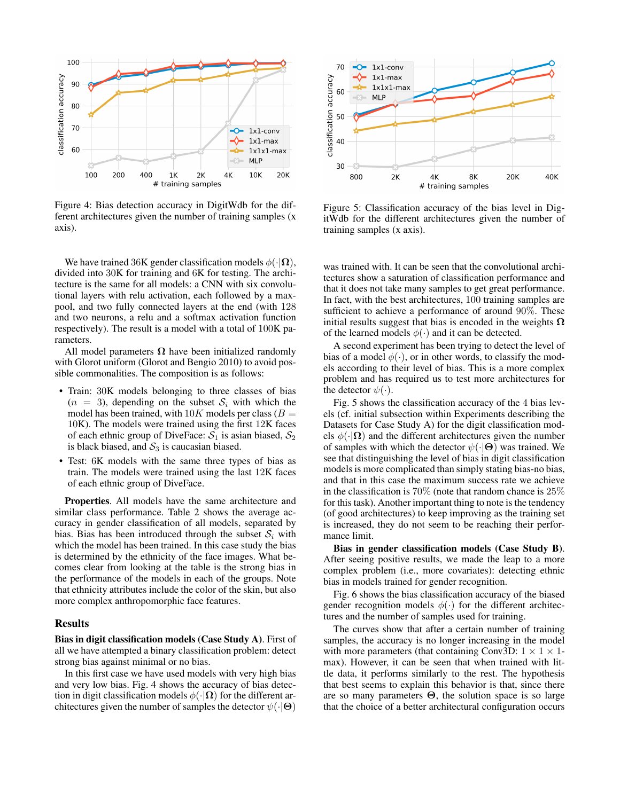

Figure 4: Bias detection accuracy in DigitWdb for the different architectures given the number of training samples (x axis).

We have trained 36K gender classification models  $\phi(\cdot|\Omega)$ , divided into 30K for training and 6K for testing. The architecture is the same for all models: a CNN with six convolutional layers with relu activation, each followed by a maxpool, and two fully connected layers at the end (with 128 and two neurons, a relu and a softmax activation function respectively). The result is a model with a total of 100K parameters.

All model parameters  $\Omega$  have been initialized randomly with Glorot uniform (Glorot and Bengio 2010) to avoid possible commonalities. The composition is as follows:

- Train: 30K models belonging to three classes of bias  $(n = 3)$ , depending on the subset  $S_i$  with which the model has been trained, with  $10K$  models per class ( $B =$ 10K). The models were trained using the first 12K faces of each ethnic group of DiveFace:  $S_1$  is asian biased,  $S_2$ is black biased, and  $S_3$  is caucasian biased.
- Test: 6K models with the same three types of bias as train. The models were trained using the last 12K faces of each ethnic group of DiveFace.

Properties. All models have the same architecture and similar class performance. Table 2 shows the average accuracy in gender classification of all models, separated by bias. Bias has been introduced through the subset  $S_i$  with which the model has been trained. In this case study the bias is determined by the ethnicity of the face images. What becomes clear from looking at the table is the strong bias in the performance of the models in each of the groups. Note that ethnicity attributes include the color of the skin, but also more complex anthropomorphic face features.

### Results

Bias in digit classification models (Case Study A). First of all we have attempted a binary classification problem: detect strong bias against minimal or no bias.

In this first case we have used models with very high bias and very low bias. Fig. 4 shows the accuracy of bias detection in digit classification models  $\phi(\cdot|\Omega)$  for the different architectures given the number of samples the detector  $\psi(\cdot|\Theta)$ 



Figure 5: Classification accuracy of the bias level in DigitWdb for the different architectures given the number of training samples (x axis).

was trained with. It can be seen that the convolutional architectures show a saturation of classification performance and that it does not take many samples to get great performance. In fact, with the best architectures, 100 training samples are sufficient to achieve a performance of around 90%. These initial results suggest that bias is encoded in the weights  $\Omega$ of the learned models  $\phi(\cdot)$  and it can be detected.

A second experiment has been trying to detect the level of bias of a model  $\phi(\cdot)$ , or in other words, to classify the models according to their level of bias. This is a more complex problem and has required us to test more architectures for the detector  $\psi(\cdot)$ .

Fig. 5 shows the classification accuracy of the 4 bias levels (cf. initial subsection within Experiments describing the Datasets for Case Study A) for the digit classification models  $\phi(\cdot|\Omega)$  and the different architectures given the number of samples with which the detector  $\psi(\cdot|\Theta)$  was trained. We see that distinguishing the level of bias in digit classification models is more complicated than simply stating bias-no bias, and that in this case the maximum success rate we achieve in the classification is 70% (note that random chance is 25% for this task). Another important thing to note is the tendency (of good architectures) to keep improving as the training set is increased, they do not seem to be reaching their performance limit.

Bias in gender classification models (Case Study B). After seeing positive results, we made the leap to a more complex problem (i.e., more covariates): detecting ethnic bias in models trained for gender recognition.

Fig. 6 shows the bias classification accuracy of the biased gender recognition models  $\phi(\cdot)$  for the different architectures and the number of samples used for training.

The curves show that after a certain number of training samples, the accuracy is no longer increasing in the model with more parameters (that containing Conv3D:  $1 \times 1 \times 1$ max). However, it can be seen that when trained with little data, it performs similarly to the rest. The hypothesis that best seems to explain this behavior is that, since there are so many parameters  $\Theta$ , the solution space is so large that the choice of a better architectural configuration occurs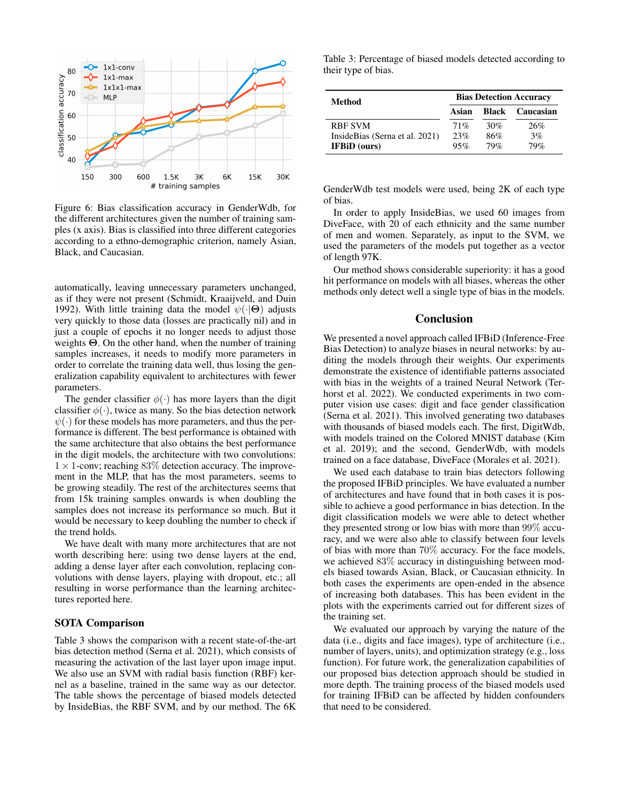

Figure 6: Bias classification accuracy in GenderWdb, for the different architectures given the number of training samples (x axis). Bias is classified into three different categories according to a ethno-demographic criterion, namely Asian, Black, and Caucasian.

automatically, leaving unnecessary parameters unchanged, as if they were not present (Schmidt, Kraaijveld, and Duin 1992). With little training data the model  $\psi(\cdot|\Theta)$  adjusts very quickly to those data (losses are practically nil) and in just a couple of epochs it no longer needs to adjust those weights Θ. On the other hand, when the number of training samples increases, it needs to modify more parameters in order to correlate the training data well, thus losing the generalization capability equivalent to architectures with fewer parameters.

The gender classifier  $\phi(\cdot)$  has more layers than the digit classifier  $\phi(\cdot)$ , twice as many. So the bias detection network  $\psi(\cdot)$  for these models has more parameters, and thus the performance is different. The best performance is obtained with the same architecture that also obtains the best performance in the digit models, the architecture with two convolutions:  $1 \times 1$ -conv; reaching 83% detection accuracy. The improvement in the MLP, that has the most parameters, seems to be growing steadily. The rest of the architectures seems that from 15k training samples onwards is when doubling the samples does not increase its performance so much. But it would be necessary to keep doubling the number to check if the trend holds.

We have dealt with many more architectures that are not worth describing here: using two dense layers at the end, adding a dense layer after each convolution, replacing convolutions with dense layers, playing with dropout, etc.; all resulting in worse performance than the learning architectures reported here.

## SOTA Comparison

Table 3 shows the comparison with a recent state-of-the-art bias detection method (Serna et al. 2021), which consists of measuring the activation of the last layer upon image input. We also use an SVM with radial basis function (RBF) kernel as a baseline, trained in the same way as our detector. The table shows the percentage of biased models detected by InsideBias, the RBF SVM, and by our method. The 6K

Table 3: Percentage of biased models detected according to their type of bias.

| Method                         | <b>Bias Detection Accuracy</b> |       |           |  |  |
|--------------------------------|--------------------------------|-------|-----------|--|--|
|                                | Asian                          | Black | Caucasian |  |  |
| <b>RBF SVM</b>                 | 71%                            | 30%   | 26%       |  |  |
| InsideBias (Serna et al. 2021) | 23%                            | 86%   | 3%        |  |  |
| <b>IFBiD</b> (ours)            | 95%                            | 79%   | 79%       |  |  |

GenderWdb test models were used, being 2K of each type of bias.

In order to apply InsideBias, we used 60 images from DiveFace, with 20 of each ethnicity and the same number of men and women. Separately, as input to the SVM, we used the parameters of the models put together as a vector of length 97K.

Our method shows considerable superiority: it has a good hit performance on models with all biases, whereas the other methods only detect well a single type of bias in the models.

### Conclusion

We presented a novel approach called IFBiD (Inference-Free Bias Detection) to analyze biases in neural networks: by auditing the models through their weights. Our experiments demonstrate the existence of identifiable patterns associated with bias in the weights of a trained Neural Network (Terhorst et al. 2022). We conducted experiments in two computer vision use cases: digit and face gender classification (Serna et al. 2021). This involved generating two databases with thousands of biased models each. The first, DigitWdb, with models trained on the Colored MNIST database (Kim et al. 2019); and the second, GenderWdb, with models trained on a face database, DiveFace (Morales et al. 2021).

We used each database to train bias detectors following the proposed IFBiD principles. We have evaluated a number of architectures and have found that in both cases it is possible to achieve a good performance in bias detection. In the digit classification models we were able to detect whether they presented strong or low bias with more than 99% accuracy, and we were also able to classify between four levels of bias with more than 70% accuracy. For the face models, we achieved 83% accuracy in distinguishing between models biased towards Asian, Black, or Caucasian ethnicity. In both cases the experiments are open-ended in the absence of increasing both databases. This has been evident in the plots with the experiments carried out for different sizes of the training set.

We evaluated our approach by varying the nature of the data (i.e., digits and face images), type of architecture (i.e., number of layers, units), and optimization strategy (e.g., loss function). For future work, the generalization capabilities of our proposed bias detection approach should be studied in more depth. The training process of the biased models used for training IFBiD can be affected by hidden confounders that need to be considered.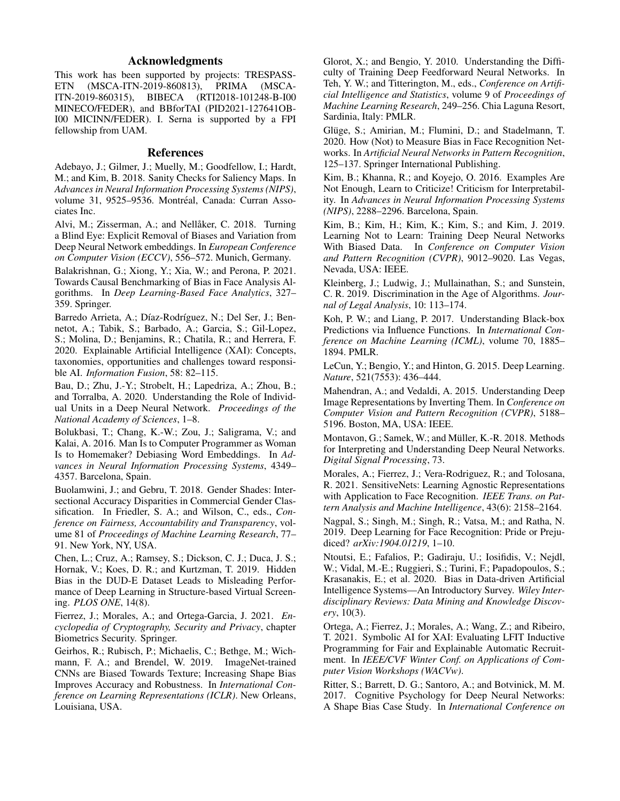## Acknowledgments

This work has been supported by projects: TRESPASS-<br>ETN (MSCA-ITN-2019-860813), PRIMA (MSCA-(MSCA-ITN-2019-860813), PRIMA (MSCA-ITN-2019-860315), BIBECA (RTI2018-101248-B-I00 MINECO/FEDER), and BBforTAI (PID2021-127641OB-I00 MICINN/FEDER). I. Serna is supported by a FPI fellowship from UAM.

## References

Adebayo, J.; Gilmer, J.; Muelly, M.; Goodfellow, I.; Hardt, M.; and Kim, B. 2018. Sanity Checks for Saliency Maps. In *Advances in Neural Information Processing Systems (NIPS)*, volume 31, 9525-9536. Montréal, Canada: Curran Associates Inc.

Alvi, M.; Zisserman, A.; and Nellåker, C. 2018. Turning a Blind Eye: Explicit Removal of Biases and Variation from Deep Neural Network embeddings. In *European Conference on Computer Vision (ECCV)*, 556–572. Munich, Germany.

Balakrishnan, G.; Xiong, Y.; Xia, W.; and Perona, P. 2021. Towards Causal Benchmarking of Bias in Face Analysis Algorithms. In *Deep Learning-Based Face Analytics*, 327– 359. Springer.

Barredo Arrieta, A.; Díaz-Rodríguez, N.; Del Ser, J.; Bennetot, A.; Tabik, S.; Barbado, A.; Garcia, S.; Gil-Lopez, S.; Molina, D.; Benjamins, R.; Chatila, R.; and Herrera, F. 2020. Explainable Artificial Intelligence (XAI): Concepts, taxonomies, opportunities and challenges toward responsible AI. *Information Fusion*, 58: 82–115.

Bau, D.; Zhu, J.-Y.; Strobelt, H.; Lapedriza, A.; Zhou, B.; and Torralba, A. 2020. Understanding the Role of Individual Units in a Deep Neural Network. *Proceedings of the National Academy of Sciences*, 1–8.

Bolukbasi, T.; Chang, K.-W.; Zou, J.; Saligrama, V.; and Kalai, A. 2016. Man Is to Computer Programmer as Woman Is to Homemaker? Debiasing Word Embeddings. In *Advances in Neural Information Processing Systems*, 4349– 4357. Barcelona, Spain.

Buolamwini, J.; and Gebru, T. 2018. Gender Shades: Intersectional Accuracy Disparities in Commercial Gender Classification. In Friedler, S. A.; and Wilson, C., eds., *Conference on Fairness, Accountability and Transparency*, volume 81 of *Proceedings of Machine Learning Research*, 77– 91. New York, NY, USA.

Chen, L.; Cruz, A.; Ramsey, S.; Dickson, C. J.; Duca, J. S.; Hornak, V.; Koes, D. R.; and Kurtzman, T. 2019. Hidden Bias in the DUD-E Dataset Leads to Misleading Performance of Deep Learning in Structure-based Virtual Screening. *PLOS ONE*, 14(8).

Fierrez, J.; Morales, A.; and Ortega-Garcia, J. 2021. *Encyclopedia of Cryptography, Security and Privacy*, chapter Biometrics Security. Springer.

Geirhos, R.; Rubisch, P.; Michaelis, C.; Bethge, M.; Wichmann, F. A.; and Brendel, W. 2019. ImageNet-trained CNNs are Biased Towards Texture; Increasing Shape Bias Improves Accuracy and Robustness. In *International Conference on Learning Representations (ICLR)*. New Orleans, Louisiana, USA.

Glorot, X.; and Bengio, Y. 2010. Understanding the Difficulty of Training Deep Feedforward Neural Networks. In Teh, Y. W.; and Titterington, M., eds., *Conference on Artificial Intelligence and Statistics*, volume 9 of *Proceedings of Machine Learning Research*, 249–256. Chia Laguna Resort, Sardinia, Italy: PMLR.

Glüge, S.; Amirian, M.; Flumini, D.; and Stadelmann, T. 2020. How (Not) to Measure Bias in Face Recognition Networks. In *Artificial Neural Networks in Pattern Recognition*, 125–137. Springer International Publishing.

Kim, B.; Khanna, R.; and Koyejo, O. 2016. Examples Are Not Enough, Learn to Criticize! Criticism for Interpretability. In *Advances in Neural Information Processing Systems (NIPS)*, 2288–2296. Barcelona, Spain.

Kim, B.; Kim, H.; Kim, K.; Kim, S.; and Kim, J. 2019. Learning Not to Learn: Training Deep Neural Networks With Biased Data. In *Conference on Computer Vision and Pattern Recognition (CVPR)*, 9012–9020. Las Vegas, Nevada, USA: IEEE.

Kleinberg, J.; Ludwig, J.; Mullainathan, S.; and Sunstein, C. R. 2019. Discrimination in the Age of Algorithms. *Journal of Legal Analysis*, 10: 113–174.

Koh, P. W.; and Liang, P. 2017. Understanding Black-box Predictions via Influence Functions. In *International Conference on Machine Learning (ICML)*, volume 70, 1885– 1894. PMLR.

LeCun, Y.; Bengio, Y.; and Hinton, G. 2015. Deep Learning. *Nature*, 521(7553): 436–444.

Mahendran, A.; and Vedaldi, A. 2015. Understanding Deep Image Representations by Inverting Them. In *Conference on Computer Vision and Pattern Recognition (CVPR)*, 5188– 5196. Boston, MA, USA: IEEE.

Montavon, G.; Samek, W.; and Müller, K.-R. 2018. Methods for Interpreting and Understanding Deep Neural Networks. *Digital Signal Processing*, 73.

Morales, A.; Fierrez, J.; Vera-Rodriguez, R.; and Tolosana, R. 2021. SensitiveNets: Learning Agnostic Representations with Application to Face Recognition. *IEEE Trans. on Pattern Analysis and Machine Intelligence*, 43(6): 2158–2164.

Nagpal, S.; Singh, M.; Singh, R.; Vatsa, M.; and Ratha, N. 2019. Deep Learning for Face Recognition: Pride or Prejudiced? *arXiv:1904.01219*, 1–10.

Ntoutsi, E.; Fafalios, P.; Gadiraju, U.; Iosifidis, V.; Nejdl, W.; Vidal, M.-E.; Ruggieri, S.; Turini, F.; Papadopoulos, S.; Krasanakis, E.; et al. 2020. Bias in Data-driven Artificial Intelligence Systems—An Introductory Survey. *Wiley Interdisciplinary Reviews: Data Mining and Knowledge Discovery*, 10(3).

Ortega, A.; Fierrez, J.; Morales, A.; Wang, Z.; and Ribeiro, T. 2021. Symbolic AI for XAI: Evaluating LFIT Inductive Programming for Fair and Explainable Automatic Recruitment. In *IEEE/CVF Winter Conf. on Applications of Computer Vision Workshops (WACVw)*.

Ritter, S.; Barrett, D. G.; Santoro, A.; and Botvinick, M. M. 2017. Cognitive Psychology for Deep Neural Networks: A Shape Bias Case Study. In *International Conference on*